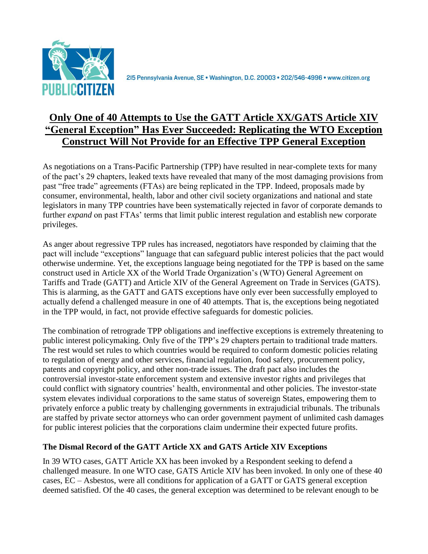

2I5 Pennsylvania Avenue, SE · Washington, D.C. 20003 · 202/546-4996 · www.citizen.org

# **Only One of 40 Attempts to Use the GATT Article XX/GATS Article XIV "General Exception" Has Ever Succeeded: Replicating the WTO Exception Construct Will Not Provide for an Effective TPP General Exception**

As negotiations on a Trans-Pacific Partnership (TPP) have resulted in near-complete texts for many of the pact's 29 chapters, leaked texts have revealed that many of the most damaging provisions from past "free trade" agreements (FTAs) are being replicated in the TPP. Indeed, proposals made by consumer, environmental, health, labor and other civil society organizations and national and state legislators in many TPP countries have been systematically rejected in favor of corporate demands to further *expand* on past FTAs' terms that limit public interest regulation and establish new corporate privileges.

As anger about regressive TPP rules has increased, negotiators have responded by claiming that the pact will include "exceptions" language that can safeguard public interest policies that the pact would otherwise undermine. Yet, the exceptions language being negotiated for the TPP is based on the same construct used in Article XX of the World Trade Organization's (WTO) General Agreement on Tariffs and Trade (GATT) and Article XIV of the General Agreement on Trade in Services (GATS). This is alarming, as the GATT and GATS exceptions have only ever been successfully employed to actually defend a challenged measure in one of 40 attempts. That is, the exceptions being negotiated in the TPP would, in fact, not provide effective safeguards for domestic policies.

The combination of retrograde TPP obligations and ineffective exceptions is extremely threatening to public interest policymaking. Only five of the TPP's 29 chapters pertain to traditional trade matters. The rest would set rules to which countries would be required to conform domestic policies relating to regulation of energy and other services, financial regulation, food safety, procurement policy, patents and copyright policy, and other non-trade issues. The draft pact also includes the controversial investor-state enforcement system and extensive investor rights and privileges that could conflict with signatory countries' health, environmental and other policies. The investor-state system elevates individual corporations to the same status of sovereign States, empowering them to privately enforce a public treaty by challenging governments in extrajudicial tribunals. The tribunals are staffed by private sector attorneys who can order government payment of unlimited cash damages for public interest policies that the corporations claim undermine their expected future profits.

## **The Dismal Record of the GATT Article XX and GATS Article XIV Exceptions**

In 39 WTO cases, GATT Article XX has been invoked by a Respondent seeking to defend a challenged measure. In one WTO case, GATS Article XIV has been invoked. In only one of these 40 cases, EC – Asbestos, were all conditions for application of a GATT or GATS general exception deemed satisfied. Of the 40 cases, the general exception was determined to be relevant enough to be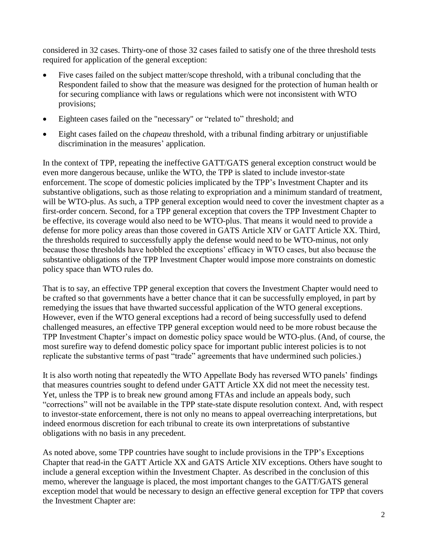considered in 32 cases. Thirty-one of those 32 cases failed to satisfy one of the three threshold tests required for application of the general exception:

- Five cases failed on the subject matter/scope threshold, with a tribunal concluding that the Respondent failed to show that the measure was designed for the protection of human health or for securing compliance with laws or regulations which were not inconsistent with WTO provisions;
- Eighteen cases failed on the "necessary" or "related to" threshold; and
- Eight cases failed on the *chapeau* threshold, with a tribunal finding arbitrary or unjustifiable discrimination in the measures' application.

In the context of TPP, repeating the ineffective GATT/GATS general exception construct would be even more dangerous because, unlike the WTO, the TPP is slated to include investor-state enforcement. The scope of domestic policies implicated by the TPP's Investment Chapter and its substantive obligations, such as those relating to expropriation and a minimum standard of treatment, will be WTO-plus. As such, a TPP general exception would need to cover the investment chapter as a first-order concern. Second, for a TPP general exception that covers the TPP Investment Chapter to be effective, its coverage would also need to be WTO-plus. That means it would need to provide a defense for more policy areas than those covered in GATS Article XIV or GATT Article XX. Third, the thresholds required to successfully apply the defense would need to be WTO-minus, not only because those thresholds have hobbled the exceptions' efficacy in WTO cases, but also because the substantive obligations of the TPP Investment Chapter would impose more constraints on domestic policy space than WTO rules do.

That is to say, an effective TPP general exception that covers the Investment Chapter would need to be crafted so that governments have a better chance that it can be successfully employed, in part by remedying the issues that have thwarted successful application of the WTO general exceptions. However, even if the WTO general exceptions had a record of being successfully used to defend challenged measures, an effective TPP general exception would need to be more robust because the TPP Investment Chapter's impact on domestic policy space would be WTO-plus. (And, of course, the most surefire way to defend domestic policy space for important public interest policies is to not replicate the substantive terms of past "trade" agreements that have undermined such policies.)

It is also worth noting that repeatedly the WTO Appellate Body has reversed WTO panels' findings that measures countries sought to defend under GATT Article XX did not meet the necessity test. Yet, unless the TPP is to break new ground among FTAs and include an appeals body, such "corrections" will not be available in the TPP state-state dispute resolution context. And, with respect to investor-state enforcement, there is not only no means to appeal overreaching interpretations, but indeed enormous discretion for each tribunal to create its own interpretations of substantive obligations with no basis in any precedent.

As noted above, some TPP countries have sought to include provisions in the TPP's Exceptions Chapter that read-in the GATT Article XX and GATS Article XIV exceptions. Others have sought to include a general exception within the Investment Chapter. As described in the conclusion of this memo, wherever the language is placed, the most important changes to the GATT/GATS general exception model that would be necessary to design an effective general exception for TPP that covers the Investment Chapter are: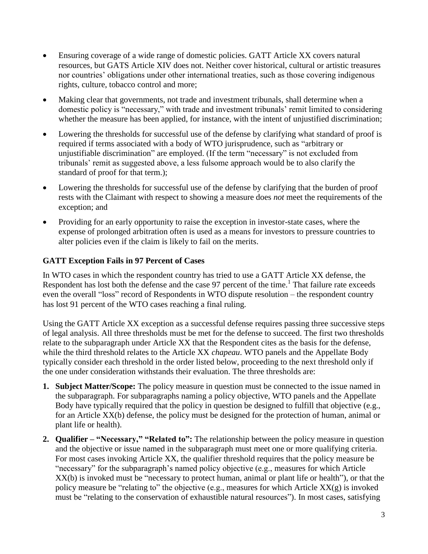- Ensuring coverage of a wide range of domestic policies. GATT Article XX covers natural resources, but GATS Article XIV does not. Neither cover historical, cultural or artistic treasures nor countries' obligations under other international treaties, such as those covering indigenous rights, culture, tobacco control and more;
- Making clear that governments, not trade and investment tribunals, shall determine when a domestic policy is "necessary," with trade and investment tribunals' remit limited to considering whether the measure has been applied, for instance, with the intent of unjustified discrimination;
- Lowering the thresholds for successful use of the defense by clarifying what standard of proof is required if terms associated with a body of WTO jurisprudence, such as "arbitrary or unjustifiable discrimination" are employed. (If the term "necessary" is not excluded from tribunals' remit as suggested above, a less fulsome approach would be to also clarify the standard of proof for that term.);
- Lowering the thresholds for successful use of the defense by clarifying that the burden of proof rests with the Claimant with respect to showing a measure does *not* meet the requirements of the exception; and
- Providing for an early opportunity to raise the exception in investor-state cases, where the expense of prolonged arbitration often is used as a means for investors to pressure countries to alter policies even if the claim is likely to fail on the merits.

## **GATT Exception Fails in 97 Percent of Cases**

In WTO cases in which the respondent country has tried to use a GATT Article XX defense, the Respondent has lost both the defense and the case 97 percent of the time.<sup>1</sup> That failure rate exceeds even the overall "loss" record of Respondents in WTO dispute resolution – the respondent country has lost 91 percent of the WTO cases reaching a final ruling.

Using the GATT Article XX exception as a successful defense requires passing three successive steps of legal analysis. All three thresholds must be met for the defense to succeed. The first two thresholds relate to the subparagraph under Article XX that the Respondent cites as the basis for the defense, while the third threshold relates to the Article XX *chapeau*. WTO panels and the Appellate Body typically consider each threshold in the order listed below, proceeding to the next threshold only if the one under consideration withstands their evaluation. The three thresholds are:

- **1. Subject Matter/Scope:** The policy measure in question must be connected to the issue named in the subparagraph. For subparagraphs naming a policy objective, WTO panels and the Appellate Body have typically required that the policy in question be designed to fulfill that objective (e.g., for an Article XX(b) defense, the policy must be designed for the protection of human, animal or plant life or health).
- **2. Qualifier – "Necessary," "Related to":** The relationship between the policy measure in question and the objective or issue named in the subparagraph must meet one or more qualifying criteria. For most cases invoking Article XX, the qualifier threshold requires that the policy measure be "necessary" for the subparagraph's named policy objective (e.g., measures for which Article XX(b) is invoked must be "necessary to protect human, animal or plant life or health"), or that the policy measure be "relating to" the objective (e.g., measures for which Article XX(g) is invoked must be "relating to the conservation of exhaustible natural resources"). In most cases, satisfying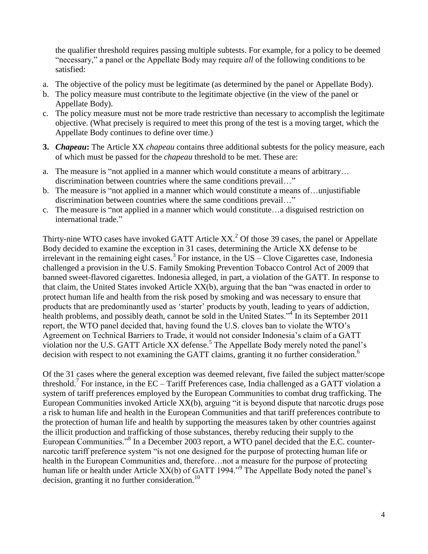the qualifier threshold requires passing multiple subtests. For example, for a policy to be deemed "necessary," a panel or the Appellate Body may require *all* of the following conditions to be satisfied:

- a. The objective of the policy must be legitimate (as determined by the panel or Appellate Body).
- b. The policy measure must contribute to the legitimate objective (in the view of the panel or Appellate Body).
- c. The policy measure must not be more trade restrictive than necessary to accomplish the legitimate objective. (What precisely is required to meet this prong of the test is a moving target, which the Appellate Body continues to define over time.)
- **3.** *Chapeau***:** The Article XX *chapeau* contains three additional subtests for the policy measure, each of which must be passed for the *chapeau* threshold to be met. These are:
- a. The measure is "not applied in a manner which would constitute a means of arbitrary… discrimination between countries where the same conditions prevail…"
- b. The measure is "not applied in a manner which would constitute a means of…unjustifiable discrimination between countries where the same conditions prevail…"
- c. The measure is "not applied in a manner which would constitute…a disguised restriction on international trade."

Thirty-nine WTO cases have invoked GATT Article  $XX<sup>2</sup>$  Of those 39 cases, the panel or Appellate Body decided to examine the exception in 31 cases, determining the Article XX defense to be irrelevant in the remaining eight cases.<sup>3</sup> For instance, in the US – Clove Cigarettes case, Indonesia challenged a provision in the U.S. Family Smoking Prevention Tobacco Control Act of 2009 that banned sweet-flavored cigarettes. Indonesia alleged, in part, a violation of the GATT. In response to that claim, the United States invoked Article XX(b), arguing that the ban "was enacted in order to protect human life and health from the risk posed by smoking and was necessary to ensure that products that are predominantly used as 'starter' products by youth, leading to years of addiction, health problems, and possibly death, cannot be sold in the United States.<sup>34</sup> In its September 2011 report, the WTO panel decided that, having found the U.S. cloves ban to violate the WTO's Agreement on Technical Barriers to Trade, it would not consider Indonesia's claim of a GATT violation nor the U.S. GATT Article XX defense.<sup>5</sup> The Appellate Body merely noted the panel's decision with respect to not examining the GATT claims, granting it no further consideration.<sup>6</sup>

Of the 31 cases where the general exception was deemed relevant, five failed the subject matter/scope threshold.<sup>7</sup> For instance, in the EC – Tariff Preferences case, India challenged as a GATT violation a system of tariff preferences employed by the European Communities to combat drug trafficking. The European Communities invoked Article XX(b), arguing "it is beyond dispute that narcotic drugs pose a risk to human life and health in the European Communities and that tariff preferences contribute to the protection of human life and health by supporting the measures taken by other countries against the illicit production and trafficking of those substances, thereby reducing their supply to the European Communities."<sup>8</sup> In a December 2003 report, a WTO panel decided that the E.C. counternarcotic tariff preference system "is not one designed for the purpose of protecting human life or health in the European Communities and, therefore…not a measure for the purpose of protecting human life or health under Article XX(b) of GATT 1994."<sup>9</sup> The Appellate Body noted the panel's decision, granting it no further consideration.<sup>10</sup>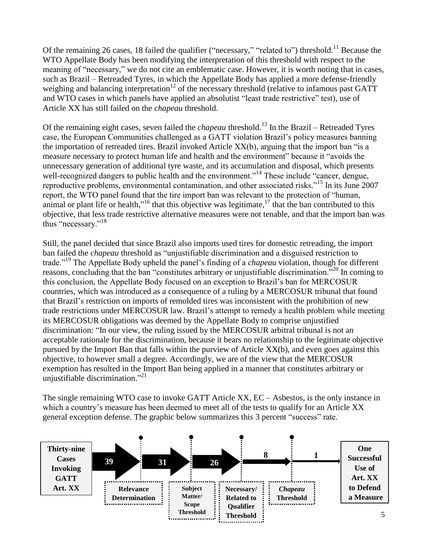Of the remaining 26 cases, 18 failed the qualifier ("necessary," "related to") threshold.<sup>11</sup> Because the WTO Appellate Body has been modifying the interpretation of this threshold with respect to the meaning of "necessary," we do not cite an emblematic case. However, it is worth noting that in cases, such as Brazil – Retreaded Tyres, in which the Appellate Body has applied a more defense-friendly weighing and balancing interpretation<sup>12</sup> of the necessary threshold (relative to infamous past GATT) and WTO cases in which panels have applied an absolutist "least trade restrictive" test), use of Article XX has still failed on the *chapeau* threshold.

Of the remaining eight cases, seven failed the *chapeau* threshold.<sup>13</sup> In the Brazil – Retreaded Tyres case, the European Communities challenged as a GATT violation Brazil's policy measures banning the importation of retreaded tires. Brazil invoked Article XX(b), arguing that the import ban "is a measure necessary to protect human life and health and the environment" because it "avoids the unnecessary generation of additional tyre waste, and its accumulation and disposal, which presents well-recognized dangers to public health and the environment."<sup>14</sup> These include "cancer, dengue, reproductive problems, environmental contamination, and other associated risks."<sup>15</sup> In its June 2007 report, the WTO panel found that the tire import ban was relevant to the protection of "human, animal or plant life or health,"<sup>16</sup> that this objective was legitimate,  $^{17}$  that the ban contributed to this objective, that less trade restrictive alternative measures were not tenable, and that the import ban was thus "necessary."<sup>18</sup>

Still, the panel decided that since Brazil also imports used tires for domestic retreading, the import ban failed the *chapeau* threshold as "unjustifiable discrimination and a disguised restriction to trade."<sup>19</sup> The Appellate Body upheld the panel's finding of a *chapeau* violation, though for different reasons, concluding that the ban "constitutes arbitrary or unjustifiable discrimination."<sup>20</sup> In coming to this conclusion, the Appellate Body focused on an exception to Brazil's ban for MERCOSUR countries, which was introduced as a consequence of a ruling by a MERCOSUR tribunal that found that Brazil's restriction on imports of remolded tires was inconsistent with the prohibition of new trade restrictions under MERCOSUR law. Brazil's attempt to remedy a health problem while meeting its MERCOSUR obligations was deemed by the Appellate Body to comprise unjustified discrimination: "In our view, the ruling issued by the MERCOSUR arbitral tribunal is not an acceptable rationale for the discrimination, because it bears no relationship to the legitimate objective pursued by the Import Ban that falls within the purview of Article XX(b), and even goes against this objective, to however small a degree. Accordingly, we are of the view that the MERCOSUR exemption has resulted in the Import Ban being applied in a manner that constitutes arbitrary or unjustifiable discrimination."<sup>21</sup>

The single remaining WTO case to invoke GATT Article XX, EC – Asbestos, is the only instance in which a country's measure has been deemed to meet all of the tests to qualify for an Article XX general exception defense. The graphic below summarizes this 3 percent "success" rate.

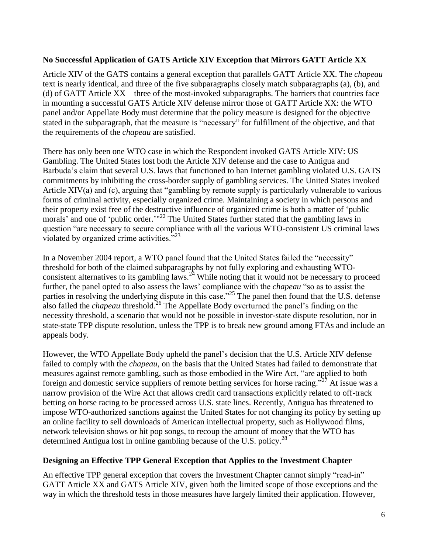## **No Successful Application of GATS Article XIV Exception that Mirrors GATT Article XX**

Article XIV of the GATS contains a general exception that parallels GATT Article XX. The *chapeau* text is nearly identical, and three of the five subparagraphs closely match subparagraphs (a), (b), and (d) of GATT Article XX – three of the most-invoked subparagraphs. The barriers that countries face in mounting a successful GATS Article XIV defense mirror those of GATT Article XX: the WTO panel and/or Appellate Body must determine that the policy measure is designed for the objective stated in the subparagraph, that the measure is "necessary" for fulfillment of the objective, and that the requirements of the *chapeau* are satisfied.

There has only been one WTO case in which the Respondent invoked GATS Article XIV: US – Gambling. The United States lost both the Article XIV defense and the case to Antigua and Barbuda's claim that several U.S. laws that functioned to ban Internet gambling violated U.S. GATS commitments by inhibiting the cross-border supply of gambling services. The United States invoked Article XIV(a) and (c), arguing that "gambling by remote supply is particularly vulnerable to various forms of criminal activity, especially organized crime. Maintaining a society in which persons and their property exist free of the destructive influence of organized crime is both a matter of 'public morals' and one of 'public order.'"<sup>22</sup> The United States further stated that the gambling laws in question "are necessary to secure compliance with all the various WTO-consistent US criminal laws violated by organized crime activities."<sup>23</sup>

In a November 2004 report, a WTO panel found that the United States failed the "necessity" threshold for both of the claimed subparagraphs by not fully exploring and exhausting WTOconsistent alternatives to its gambling laws.<sup>24</sup> While noting that it would not be necessary to proceed further, the panel opted to also assess the laws' compliance with the *chapeau* "so as to assist the parties in resolving the underlying dispute in this case."<sup>25</sup> The panel then found that the U.S. defense also failed the *chapeau* threshold.<sup>26</sup> The Appellate Body overturned the panel's finding on the necessity threshold, a scenario that would not be possible in investor-state dispute resolution, nor in state-state TPP dispute resolution, unless the TPP is to break new ground among FTAs and include an appeals body.

However, the WTO Appellate Body upheld the panel's decision that the U.S. Article XIV defense failed to comply with the *chapeau*, on the basis that the United States had failed to demonstrate that measures against remote gambling, such as those embodied in the Wire Act, "are applied to both foreign and domestic service suppliers of remote betting services for horse racing." $^{27}$  At issue was a narrow provision of the Wire Act that allows credit card transactions explicitly related to off-track betting on horse racing to be processed across U.S. state lines. Recently, Antigua has threatened to impose WTO-authorized sanctions against the United States for not changing its policy by setting up an online facility to sell downloads of American intellectual property, such as Hollywood films, network television shows or hit pop songs, to recoup the amount of money that the WTO has determined Antigua lost in online gambling because of the U.S. policy.<sup>28</sup>

#### **Designing an Effective TPP General Exception that Applies to the Investment Chapter**

An effective TPP general exception that covers the Investment Chapter cannot simply "read-in" GATT Article XX and GATS Article XIV, given both the limited scope of those exceptions and the way in which the threshold tests in those measures have largely limited their application. However,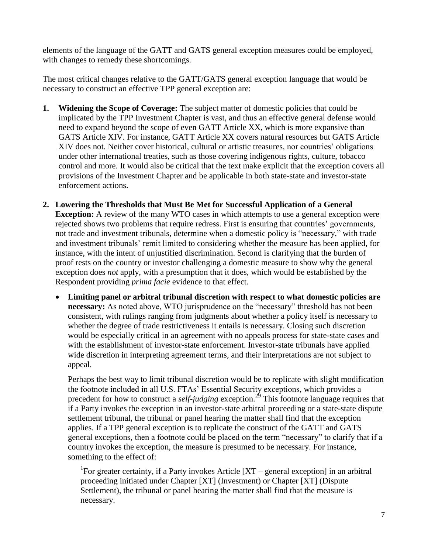elements of the language of the GATT and GATS general exception measures could be employed, with changes to remedy these shortcomings.

The most critical changes relative to the GATT/GATS general exception language that would be necessary to construct an effective TPP general exception are:

- **1. Widening the Scope of Coverage:** The subject matter of domestic policies that could be implicated by the TPP Investment Chapter is vast, and thus an effective general defense would need to expand beyond the scope of even GATT Article XX, which is more expansive than GATS Article XIV. For instance, GATT Article XX covers natural resources but GATS Article XIV does not. Neither cover historical, cultural or artistic treasures, nor countries' obligations under other international treaties, such as those covering indigenous rights, culture, tobacco control and more. It would also be critical that the text make explicit that the exception covers all provisions of the Investment Chapter and be applicable in both state-state and investor-state enforcement actions.
- **2. Lowering the Thresholds that Must Be Met for Successful Application of a General Exception:** A review of the many WTO cases in which attempts to use a general exception were rejected shows two problems that require redress. First is ensuring that countries' governments, not trade and investment tribunals, determine when a domestic policy is "necessary," with trade and investment tribunals' remit limited to considering whether the measure has been applied, for instance, with the intent of unjustified discrimination. Second is clarifying that the burden of proof rests on the country or investor challenging a domestic measure to show why the general exception does *not* apply, with a presumption that it does, which would be established by the Respondent providing *prima facie* evidence to that effect.
	- **Limiting panel or arbitral tribunal discretion with respect to what domestic policies are necessary:** As noted above, WTO jurisprudence on the "necessary" threshold has not been consistent, with rulings ranging from judgments about whether a policy itself is necessary to whether the degree of trade restrictiveness it entails is necessary. Closing such discretion would be especially critical in an agreement with no appeals process for state-state cases and with the establishment of investor-state enforcement. Investor-state tribunals have applied wide discretion in interpreting agreement terms, and their interpretations are not subject to appeal.

Perhaps the best way to limit tribunal discretion would be to replicate with slight modification the footnote included in all U.S. FTAs' Essential Security exceptions, which provides a precedent for how to construct a *self-judging* exception.<sup>29</sup> This footnote language requires that if a Party invokes the exception in an investor-state arbitral proceeding or a state-state dispute settlement tribunal, the tribunal or panel hearing the matter shall find that the exception applies. If a TPP general exception is to replicate the construct of the GATT and GATS general exceptions, then a footnote could be placed on the term "necessary" to clarify that if a country invokes the exception, the measure is presumed to be necessary. For instance, something to the effect of:

<sup>1</sup>For greater certainty, if a Party invokes Article  $[XT - general exception]$  in an arbitral proceeding initiated under Chapter [XT] (Investment) or Chapter [XT] (Dispute Settlement), the tribunal or panel hearing the matter shall find that the measure is necessary.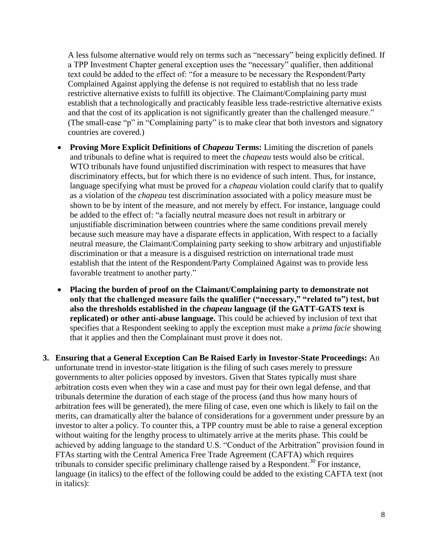A less fulsome alternative would rely on terms such as "necessary" being explicitly defined. If a TPP Investment Chapter general exception uses the "necessary" qualifier, then additional text could be added to the effect of: "for a measure to be necessary the Respondent/Party Complained Against applying the defense is not required to establish that no less trade restrictive alternative exists to fulfill its objective. The Claimant/Complaining party must establish that a technologically and practicably feasible less trade-restrictive alternative exists and that the cost of its application is not significantly greater than the challenged measure." (The small-case "p" in "Complaining party" is to make clear that both investors and signatory countries are covered.)

- **Proving More Explicit Definitions of** *Chapeau* **Terms:** Limiting the discretion of panels and tribunals to define what is required to meet the *chapeau* tests would also be critical. WTO tribunals have found unjustified discrimination with respect to measures that have discriminatory effects, but for which there is no evidence of such intent. Thus, for instance, language specifying what must be proved for a *chapeau* violation could clarify that to qualify as a violation of the *chapeau* test discrimination associated with a policy measure must be shown to be by intent of the measure, and not merely by effect. For instance, language could be added to the effect of: "a facially neutral measure does not result in arbitrary or unjustifiable discrimination between countries where the same conditions prevail merely because such measure may have a disparate effects in application, With respect to a facially neutral measure, the Claimant/Complaining party seeking to show arbitrary and unjustifiable discrimination or that a measure is a disguised restriction on international trade must establish that the intent of the Respondent/Party Complained Against was to provide less favorable treatment to another party."
- **Placing the burden of proof on the Claimant/Complaining party to demonstrate not only that the challenged measure fails the qualifier ("necessary," "related to") test, but also the thresholds established in the** *chapeau* **language (if the GATT-GATS text is replicated) or other anti-abuse language.** This could be achieved by inclusion of text that specifies that a Respondent seeking to apply the exception must make a *prima facie* showing that it applies and then the Complainant must prove it does not.
- **3. Ensuring that a General Exception Can Be Raised Early in Investor-State Proceedings:** An unfortunate trend in investor-state litigation is the filing of such cases merely to pressure governments to alter policies opposed by investors. Given that States typically must share arbitration costs even when they win a case and must pay for their own legal defense, and that tribunals determine the duration of each stage of the process (and thus how many hours of arbitration fees will be generated), the mere filing of case, even one which is likely to fail on the merits, can dramatically alter the balance of considerations for a government under pressure by an investor to alter a policy. To counter this, a TPP country must be able to raise a general exception without waiting for the lengthy process to ultimately arrive at the merits phase. This could be achieved by adding language to the standard U.S. "Conduct of the Arbitration" provision found in FTAs starting with the Central America Free Trade Agreement (CAFTA) which requires tribunals to consider specific preliminary challenge raised by a Respondent.<sup>30</sup> For instance, language (in italics) to the effect of the following could be added to the existing CAFTA text (not in italics):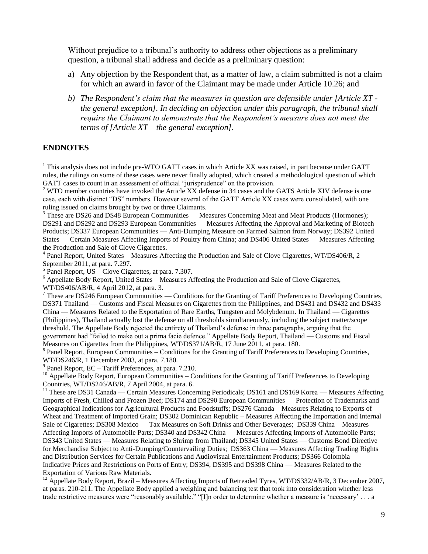Without prejudice to a tribunal's authority to address other objections as a preliminary question, a tribunal shall address and decide as a preliminary question:

- a) Any objection by the Respondent that, as a matter of law, a claim submitted is not a claim for which an award in favor of the Claimant may be made under Article 10.26; and
- *b) The Respondent's claim that the measures in question are defensible under [Article XT the general exception]. In deciding an objection under this paragraph, the tribunal shall require the Claimant to demonstrate that the Respondent's measure does not meet the terms of [Article XT – the general exception].*

#### **ENDNOTES**

 $\overline{a}$ 

 $8$  Panel Report, European Communities – Conditions for the Granting of Tariff Preferences to Developing Countries, WT/DS246/R, 1 December 2003, at para. 7.180.

<sup>9</sup> Panel Report, EC – Tariff Preferences, at para. 7.210.

<sup>10</sup> Appellate Body Report, European Communities – Conditions for the Granting of Tariff Preferences to Developing Countries, WT/DS246/AB/R, 7 April 2004, at para. 6.

<sup>11</sup> These are DS31 Canada — Certain Measures Concerning Periodicals; DS161 and DS169 Korea — Measures Affecting Imports of Fresh, Chilled and Frozen Beef; DS174 and DS290 European Communities — Protection of Trademarks and Geographical Indications for Agricultural Products and Foodstuffs; DS276 Canada – Measures Relating to Exports of Wheat and Treatment of Imported Grain; DS302 Dominican Republic – Measures Affecting the Importation and Internal Sale of Cigarettes; DS308 Mexico — Tax Measures on Soft Drinks and Other Beverages; DS339 China – Measures Affecting Imports of Automobile Parts; DS340 and DS342 China — Measures Affecting Imports of Automobile Parts; DS343 United States — Measures Relating to Shrimp from Thailand; DS345 United States — Customs Bond Directive for Merchandise Subject to Anti-Dumping/Countervailing Duties; DS363 China — Measures Affecting Trading Rights and Distribution Services for Certain Publications and Audiovisual Entertainment Products; DS366 Colombia — Indicative Prices and Restrictions on Ports of Entry; DS394, DS395 and DS398 China — Measures Related to the Exportation of Various Raw Materials.

 $12$  Appellate Body Report, Brazil – Measures Affecting Imports of Retreaded Tyres, WT/DS332/AB/R, 3 December 2007, at paras. 210-211. The Appellate Body applied a weighing and balancing test that took into consideration whether less trade restrictive measures were "reasonably available." "[I]n order to determine whether a measure is 'necessary' . . . a

<sup>&</sup>lt;sup>1</sup> This analysis does not include pre-WTO GATT cases in which Article XX was raised, in part because under GATT rules, the rulings on some of these cases were never finally adopted, which created a methodological question of which GATT cases to count in an assessment of official "jurisprudence" on the provision.

 $2$  WTO member countries have invoked the Article XX defense in 34 cases and the GATS Article XIV defense is one case, each with distinct "DS" numbers. However several of the GATT Article XX cases were consolidated, with one ruling issued on claims brought by two or three Claimants.

 $3$  These are DS26 and DS48 European Communities — Measures Concerning Meat and Meat Products (Hormones); DS291 and DS292 and DS293 European Communities — Measures Affecting the Approval and Marketing of Biotech Products; DS337 European Communities — Anti-Dumping Measure on Farmed Salmon from Norway; DS392 United States — Certain Measures Affecting Imports of Poultry from China; and DS406 United States — Measures Affecting the Production and Sale of Clove Cigarettes.

<sup>&</sup>lt;sup>4</sup> Panel Report, United States – Measures Affecting the Production and Sale of Clove Cigarettes, WT/DS406/R, 2 September 2011, at para. 7.297.

 $<sup>5</sup>$  Panel Report, US – Clove Cigarettes, at para. 7.307.</sup>

<sup>&</sup>lt;sup>6</sup> Appellate Body Report, United States – Measures Affecting the Production and Sale of Clove Cigarettes, WT/DS406/AB/R, 4 April 2012, at para. 3.

 $7$  These are DS246 European Communities — Conditions for the Granting of Tariff Preferences to Developing Countries, DS371 Thailand — Customs and Fiscal Measures on Cigarettes from the Philippines, and DS431 and DS432 and DS433 China — Measures Related to the Exportation of Rare Earths, Tungsten and Molybdenum. In Thailand — Cigarettes (Philippines), Thailand actually lost the defense on all thresholds simultaneously, including the subject matter/scope threshold. The Appellate Body rejected the entirety of Thailand's defense in three paragraphs, arguing that the government had "failed to make out a prima facie defence." Appellate Body Report, Thailand — Customs and Fiscal Measures on Cigarettes from the Philippines, WT/DS371/AB/R, 17 June 2011, at para. 180.